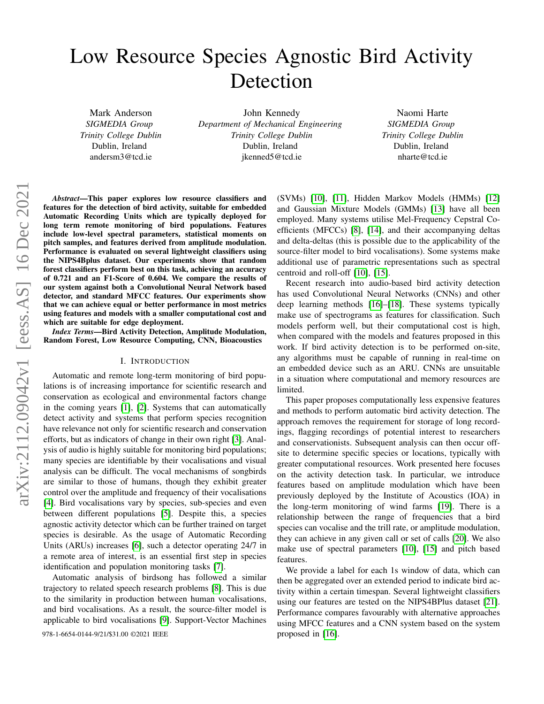# Low Resource Species Agnostic Bird Activity Detection

Mark Anderson *SIGMEDIA Group Trinity College Dublin* Dublin, Ireland andersm3@tcd.ie

John Kennedy *Department of Mechanical Engineering Trinity College Dublin* Dublin, Ireland jkenned5@tcd.ie

Naomi Harte *SIGMEDIA Group Trinity College Dublin* Dublin, Ireland nharte@tcd.ie

*Abstract*—This paper explores low resource classifiers and features for the detection of bird activity, suitable for embedded Automatic Recording Units which are typically deployed for long term remote monitoring of bird populations. Features include low-level spectral parameters, statistical moments on pitch samples, and features derived from amplitude modulation. Performance is evaluated on several lightweight classifiers using the NIPS4Bplus dataset. Our experiments show that random forest classifiers perform best on this task, achieving an accuracy of 0.721 and an F1-Score of 0.604. We compare the results of our system against both a Convolutional Neural Network based detector, and standard MFCC features. Our experiments show that we can achieve equal or better performance in most metrics using features and models with a smaller computational cost and which are suitable for edge deployment.

*Index Terms*—Bird Activity Detection, Amplitude Modulation, Random Forest, Low Resource Computing, CNN, Bioacoustics

## I. INTRODUCTION

Automatic and remote long-term monitoring of bird populations is of increasing importance for scientific research and conservation as ecological and environmental factors change in the coming years [\[1\]](#page-5-0), [\[2\]](#page-5-1). Systems that can automatically detect activity and systems that perform species recognition have relevance not only for scientific research and conservation efforts, but as indicators of change in their own right [\[3\]](#page-5-2). Analysis of audio is highly suitable for monitoring bird populations; many species are identifiable by their vocalisations and visual analysis can be difficult. The vocal mechanisms of songbirds are similar to those of humans, though they exhibit greater control over the amplitude and frequency of their vocalisations [\[4\]](#page-5-3). Bird vocalisations vary by species, sub-species and even between different populations [\[5\]](#page-5-4). Despite this, a species agnostic activity detector which can be further trained on target species is desirable. As the usage of Automatic Recording Units (ARUs) increases [\[6\]](#page-5-5), such a detector operating 24/7 in a remote area of interest, is an essential first step in species identification and population monitoring tasks [\[7\]](#page-5-6).

Automatic analysis of birdsong has followed a similar trajectory to related speech research problems [\[8\]](#page-5-7). This is due to the similarity in production between human vocalisations, and bird vocalisations. As a result, the source-filter model is applicable to bird vocalisations [\[9\]](#page-5-8). Support-Vector Machines

978-1-6654-0144-9/21/\$31.00 ©2021 IEEE proposed in [\[16\]](#page-5-15).

(SVMs) [\[10\]](#page-5-9), [\[11\]](#page-5-10), Hidden Markov Models (HMMs) [\[12\]](#page-5-11) and Gaussian Mixture Models (GMMs) [\[13\]](#page-5-12) have all been employed. Many systems utilise Mel-Frequency Cepstral Coefficients (MFCCs) [\[8\]](#page-5-7), [\[14\]](#page-5-13), and their accompanying deltas and delta-deltas (this is possible due to the applicability of the source-filter model to bird vocalisations). Some systems make additional use of parametric representations such as spectral centroid and roll-off [\[10\]](#page-5-9), [\[15\]](#page-5-14).

Recent research into audio-based bird activity detection has used Convolutional Neural Networks (CNNs) and other deep learning methods [\[16\]](#page-5-15)–[\[18\]](#page-5-16). These systems typically make use of spectrograms as features for classification. Such models perform well, but their computational cost is high, when compared with the models and features proposed in this work. If bird activity detection is to be performed on-site, any algorithms must be capable of running in real-time on an embedded device such as an ARU. CNNs are unsuitable in a situation where computational and memory resources are limited.

This paper proposes computationally less expensive features and methods to perform automatic bird activity detection. The approach removes the requirement for storage of long recordings, flagging recordings of potential interest to researchers and conservationists. Subsequent analysis can then occur offsite to determine specific species or locations, typically with greater computational resources. Work presented here focuses on the activity detection task. In particular, we introduce features based on amplitude modulation which have been previously deployed by the Institute of Acoustics (IOA) in the long-term monitoring of wind farms [\[19\]](#page-5-17). There is a relationship between the range of frequencies that a bird species can vocalise and the trill rate, or amplitude modulation, they can achieve in any given call or set of calls [\[20\]](#page-5-18). We also make use of spectral parameters [\[10\]](#page-5-9), [\[15\]](#page-5-14) and pitch based features.

We provide a label for each 1s window of data, which can then be aggregated over an extended period to indicate bird activity within a certain timespan. Several lightweight classifiers using our features are tested on the NIPS4BPlus dataset [\[21\]](#page-5-19). Performance compares favourably with alternative approaches using MFCC features and a CNN system based on the system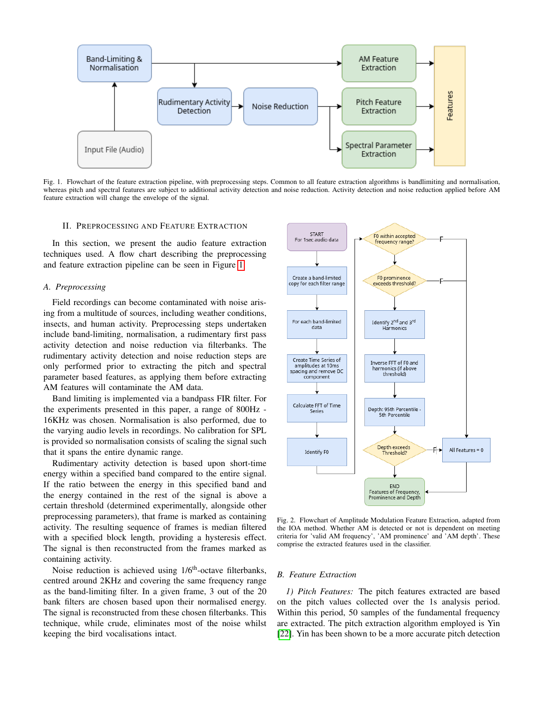

<span id="page-1-0"></span>Fig. 1. Flowchart of the feature extraction pipeline, with preprocessing steps. Common to all feature extraction algorithms is bandlimiting and normalisation, whereas pitch and spectral features are subject to additional activity detection and noise reduction. Activity detection and noise reduction applied before AM feature extraction will change the envelope of the signal.

## II. PREPROCESSING AND FEATURE EXTRACTION

In this section, we present the audio feature extraction techniques used. A flow chart describing the preprocessing and feature extraction pipeline can be seen in Figure [1.](#page-1-0)

# *A. Preprocessing*

Field recordings can become contaminated with noise arising from a multitude of sources, including weather conditions, insects, and human activity. Preprocessing steps undertaken include band-limiting, normalisation, a rudimentary first pass activity detection and noise reduction via filterbanks. The rudimentary activity detection and noise reduction steps are only performed prior to extracting the pitch and spectral parameter based features, as applying them before extracting AM features will contaminate the AM data.

Band limiting is implemented via a bandpass FIR filter. For the experiments presented in this paper, a range of 800Hz - 16KHz was chosen. Normalisation is also performed, due to the varying audio levels in recordings. No calibration for SPL is provided so normalisation consists of scaling the signal such that it spans the entire dynamic range.

Rudimentary activity detection is based upon short-time energy within a specified band compared to the entire signal. If the ratio between the energy in this specified band and the energy contained in the rest of the signal is above a certain threshold (determined experimentally, alongside other preprocessing parameters), that frame is marked as containing activity. The resulting sequence of frames is median filtered with a specified block length, providing a hysteresis effect. The signal is then reconstructed from the frames marked as containing activity.

Noise reduction is achieved using 1/6<sup>th</sup>-octave filterbanks, centred around 2KHz and covering the same frequency range as the band-limiting filter. In a given frame, 3 out of the 20 bank filters are chosen based upon their normalised energy. The signal is reconstructed from these chosen filterbanks. This technique, while crude, eliminates most of the noise whilst keeping the bird vocalisations intact.



<span id="page-1-1"></span>Fig. 2. Flowchart of Amplitude Modulation Feature Extraction, adapted from the IOA method. Whether AM is detected or not is dependent on meeting criteria for 'valid AM frequency', 'AM prominence' and 'AM depth'. These comprise the extracted features used in the classifier.

## *B. Feature Extraction*

*1) Pitch Features:* The pitch features extracted are based on the pitch values collected over the 1s analysis period. Within this period, 50 samples of the fundamental frequency are extracted. The pitch extraction algorithm employed is Yin [\[22\]](#page-5-20). Yin has been shown to be a more accurate pitch detection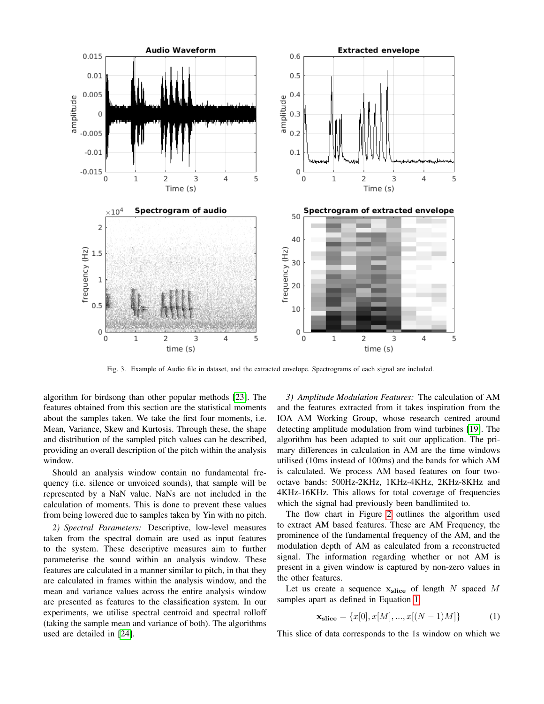

Fig. 3. Example of Audio file in dataset, and the extracted envelope. Spectrograms of each signal are included.

algorithm for birdsong than other popular methods [\[23\]](#page-5-21). The features obtained from this section are the statistical moments about the samples taken. We take the first four moments, i.e. Mean, Variance, Skew and Kurtosis. Through these, the shape and distribution of the sampled pitch values can be described, providing an overall description of the pitch within the analysis window.

Should an analysis window contain no fundamental frequency (i.e. silence or unvoiced sounds), that sample will be represented by a NaN value. NaNs are not included in the calculation of moments. This is done to prevent these values from being lowered due to samples taken by Yin with no pitch.

*2) Spectral Parameters:* Descriptive, low-level measures taken from the spectral domain are used as input features to the system. These descriptive measures aim to further parameterise the sound within an analysis window. These features are calculated in a manner similar to pitch, in that they are calculated in frames within the analysis window, and the mean and variance values across the entire analysis window are presented as features to the classification system. In our experiments, we utilise spectral centroid and spectral rolloff (taking the sample mean and variance of both). The algorithms used are detailed in [\[24\]](#page-5-22).

*3) Amplitude Modulation Features:* The calculation of AM and the features extracted from it takes inspiration from the IOA AM Working Group, whose research centred around detecting amplitude modulation from wind turbines [\[19\]](#page-5-17). The algorithm has been adapted to suit our application. The primary differences in calculation in AM are the time windows utilised (10ms instead of 100ms) and the bands for which AM is calculated. We process AM based features on four twooctave bands: 500Hz-2KHz, 1KHz-4KHz, 2KHz-8KHz and 4KHz-16KHz. This allows for total coverage of frequencies which the signal had previously been bandlimited to.

The flow chart in Figure [2](#page-1-1) outlines the algorithm used to extract AM based features. These are AM Frequency, the prominence of the fundamental frequency of the AM, and the modulation depth of AM as calculated from a reconstructed signal. The information regarding whether or not AM is present in a given window is captured by non-zero values in the other features.

Let us create a sequence  $x_{\text{slice}}$  of length N spaced M samples apart as defined in Equation [1.](#page-2-0)

<span id="page-2-0"></span>
$$
\mathbf{x}_{\text{slice}} = \{x[0], x[M], ..., x[(N-1)M]\}
$$
 (1)

This slice of data corresponds to the 1s window on which we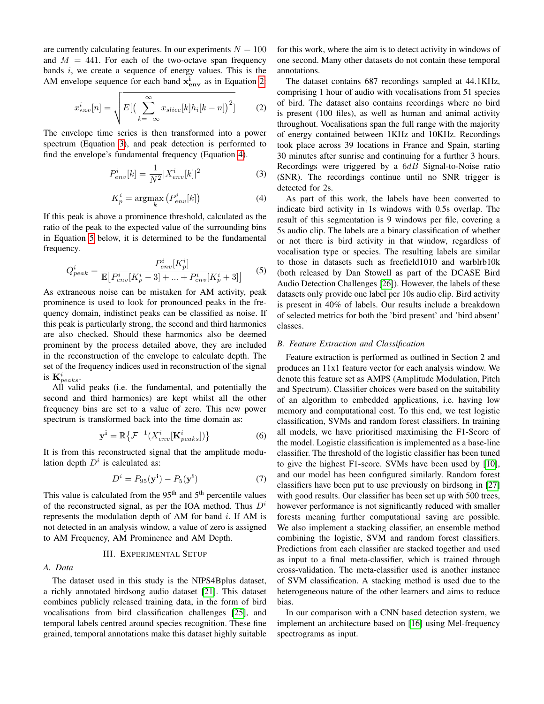are currently calculating features. In our experiments  $N = 100$ and  $M = 441$ . For each of the two-octave span frequency bands  $i$ , we create a sequence of energy values. This is the AM envelope sequence for each band  $x_{env}^i$  as in Equation [2:](#page-3-0)

$$
x_{env}^{i}[n] = \sqrt{E\left[\left(\sum_{k=-\infty}^{\infty} x_{slice}[k]h_i[k-n]\right)^2\right]}
$$
 (2)

The envelope time series is then transformed into a power spectrum (Equation [3\)](#page-3-1), and peak detection is performed to find the envelope's fundamental frequency (Equation [4\)](#page-3-2).

$$
P_{env}^{i}[k] = \frac{1}{N^2} |X_{env}^{i}[k]|^2
$$
 (3)

$$
K_p^i = \underset{k}{\text{argmax}} \left( P_{env}^i[k] \right) \tag{4}
$$

If this peak is above a prominence threshold, calculated as the ratio of the peak to the expected value of the surrounding bins in Equation [5](#page-3-3) below, it is determined to be the fundamental frequency.

$$
Q_{peak}^{i} = \frac{P_{env}^{i}[K_{p}^{i}]}{\mathbb{E}\left[P_{env}^{i}[K_{p}^{i}-3] + \ldots + P_{env}^{i}[K_{p}^{i}+3]\right]}
$$
 (5)

As extraneous noise can be mistaken for AM activity, peak prominence is used to look for pronounced peaks in the frequency domain, indistinct peaks can be classified as noise. If this peak is particularly strong, the second and third harmonics are also checked. Should these harmonics also be deemed prominent by the process detailed above, they are included in the reconstruction of the envelope to calculate depth. The set of the frequency indices used in reconstruction of the signal is  $\mathbf{K}_{peaks}^i$ .

All valid peaks (i.e. the fundamental, and potentially the second and third harmonics) are kept whilst all the other frequency bins are set to a value of zero. This new power spectrum is transformed back into the time domain as:

$$
\mathbf{y}^{\mathbf{i}} = \mathbb{R} \left\{ \mathcal{F}^{-1} (X_{env}^{i}[\mathbf{K}_{peaks}^{i}]) \right\}
$$
 (6)

It is from this reconstructed signal that the amplitude modulation depth  $D^i$  is calculated as:

$$
Di = P95(yi) - P5(yi)
$$
 (7)

This value is calculated from the  $95<sup>th</sup>$  and  $5<sup>th</sup>$  percentile values of the reconstructed signal, as per the IOA method. Thus  $D^i$ represents the modulation depth of AM for band  $i$ . If AM is not detected in an analysis window, a value of zero is assigned to AM Frequency, AM Prominence and AM Depth.

# III. EXPERIMENTAL SETUP

# *A. Data*

The dataset used in this study is the NIPS4Bplus dataset, a richly annotated birdsong audio dataset [\[21\]](#page-5-19). This dataset combines publicly released training data, in the form of bird vocalisations from bird classification challenges [\[25\]](#page-5-23), and temporal labels centred around species recognition. These fine grained, temporal annotations make this dataset highly suitable for this work, where the aim is to detect activity in windows of one second. Many other datasets do not contain these temporal annotations.

<span id="page-3-0"></span>The dataset contains 687 recordings sampled at 44.1KHz, comprising 1 hour of audio with vocalisations from 51 species of bird. The dataset also contains recordings where no bird is present (100 files), as well as human and animal activity throughout. Vocalisations span the full range with the majority of energy contained between 1KHz and 10KHz. Recordings took place across 39 locations in France and Spain, starting 30 minutes after sunrise and continuing for a further 3 hours. Recordings were triggered by a  $6dB$  Signal-to-Noise ratio (SNR). The recordings continue until no SNR trigger is detected for 2s.

<span id="page-3-3"></span><span id="page-3-2"></span><span id="page-3-1"></span>As part of this work, the labels have been converted to indicate bird activity in 1s windows with 0.5s overlap. The result of this segmentation is 9 windows per file, covering a 5s audio clip. The labels are a binary classification of whether or not there is bird activity in that window, regardless of vocalisation type or species. The resulting labels are similar to those in datasets such as freefield1010 and warblrb10k (both released by Dan Stowell as part of the DCASE Bird Audio Detection Challenges [\[26\]](#page-5-24)). However, the labels of these datasets only provide one label per 10s audio clip. Bird activity is present in 40% of labels. Our results include a breakdown of selected metrics for both the 'bird present' and 'bird absent' classes.

#### *B. Feature Extraction and Classification*

Feature extraction is performed as outlined in Section 2 and produces an 11x1 feature vector for each analysis window. We denote this feature set as AMPS (Amplitude Modulation, Pitch and Spectrum). Classifier choices were based on the suitability of an algorithm to embedded applications, i.e. having low memory and computational cost. To this end, we test logistic classification, SVMs and random forest classifiers. In training all models, we have prioritised maximising the F1-Score of the model. Logistic classification is implemented as a base-line classifier. The threshold of the logistic classifier has been tuned to give the highest F1-score. SVMs have been used by [\[10\]](#page-5-9), and our model has been configured similarly. Random forest classifiers have been put to use previously on birdsong in [\[27\]](#page-5-25) with good results. Our classifier has been set up with 500 trees, however performance is not significantly reduced with smaller forests meaning further computational saving are possible. We also implement a stacking classifier, an ensemble method combining the logistic, SVM and random forest classifiers. Predictions from each classifier are stacked together and used as input to a final meta-classifier, which is trained through cross-validation. The meta-classifier used is another instance of SVM classification. A stacking method is used due to the heterogeneous nature of the other learners and aims to reduce bias.

In our comparison with a CNN based detection system, we implement an architecture based on [\[16\]](#page-5-15) using Mel-frequency spectrograms as input.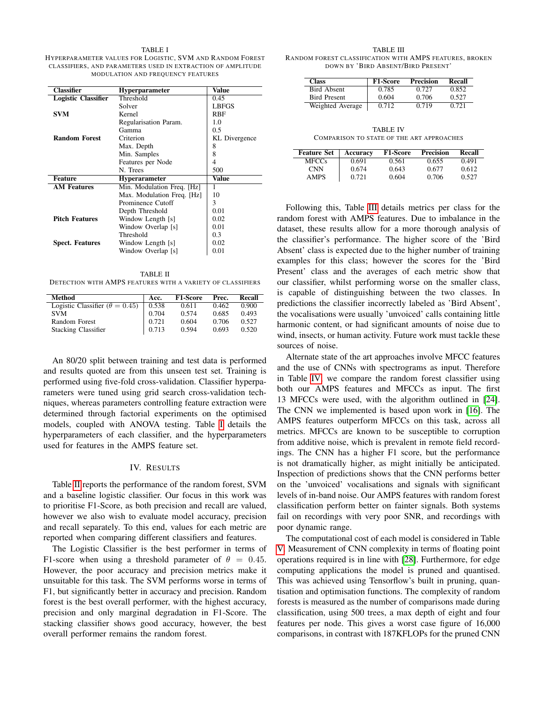#### TABLE I

<span id="page-4-0"></span>HYPERPARAMETER VALUES FOR LOGISTIC, SVM AND RANDOM FOREST CLASSIFIERS, AND PARAMETERS USED IN EXTRACTION OF AMPLITUDE MODULATION AND FREQUENCY FEATURES

| <b>Classifier</b>      | <b>Hyperparameter</b>      | Value         |  |
|------------------------|----------------------------|---------------|--|
| Logistic Classifier    | Threshold                  | 0.45          |  |
|                        | Solver                     | <b>LBFGS</b>  |  |
| <b>SVM</b>             | Kernel                     | RBF           |  |
|                        | Regularisation Param.      | 1.0           |  |
|                        | Gamma                      | 0.5           |  |
| <b>Random Forest</b>   | Criterion                  | KL Divergence |  |
|                        | Max. Depth                 | 8             |  |
|                        | Min. Samples               | 8             |  |
|                        | Features per Node          | 4             |  |
|                        | N. Trees                   | 500           |  |
| Feature                | <b>Hyperarameter</b>       | Value         |  |
| <b>AM Features</b>     | Min. Modulation Freq. [Hz] |               |  |
|                        | Max. Modulation Freq. [Hz] | 10            |  |
|                        | Prominence Cutoff          | 3             |  |
|                        | Depth Threshold            | 0.01          |  |
| <b>Pitch Features</b>  | Window Length [s]          | 0.02          |  |
|                        | Window Overlap [s]         | 0.01          |  |
|                        | Threshold                  | 0.3           |  |
| <b>Spect. Features</b> | Window Length [s]          | 0.02          |  |
|                        | Window Overlap [s]         | 0.01          |  |

<span id="page-4-1"></span>TABLE II DETECTION WITH AMPS FEATURES WITH A VARIETY OF CLASSIFIERS

| Method                                  | Acc.  | <b>F1-Score</b> | Prec. | Recall |
|-----------------------------------------|-------|-----------------|-------|--------|
| Logistic Classifier ( $\theta = 0.45$ ) | 0.538 | 0.611           | 0.462 | 0.900  |
| <b>SVM</b>                              | 0.704 | 0.574           | 0.685 | 0.493  |
| Random Forest                           | 0.721 | 0.604           | 0.706 | 0.527  |
| Stacking Classifier                     | 0.713 | 0.594           | 0.693 | 0.520  |

An 80/20 split between training and test data is performed and results quoted are from this unseen test set. Training is performed using five-fold cross-validation. Classifier hyperparameters were tuned using grid search cross-validation techniques, whereas parameters controlling feature extraction were determined through factorial experiments on the optimised models, coupled with ANOVA testing. Table [I](#page-4-0) details the hyperparameters of each classifier, and the hyperparameters used for features in the AMPS feature set.

## IV. RESULTS

Table [II](#page-4-1) reports the performance of the random forest, SVM and a baseline logistic classifier. Our focus in this work was to prioritise F1-Score, as both precision and recall are valued, however we also wish to evaluate model accuracy, precision and recall separately. To this end, values for each metric are reported when comparing different classifiers and features.

The Logistic Classifier is the best performer in terms of F1-score when using a threshold parameter of  $\theta = 0.45$ . However, the poor accuracy and precision metrics make it unsuitable for this task. The SVM performs worse in terms of F1, but significantly better in accuracy and precision. Random forest is the best overall performer, with the highest accuracy, precision and only marginal degradation in F1-Score. The stacking classifier shows good accuracy, however, the best overall performer remains the random forest.

<span id="page-4-2"></span>TABLE III RANDOM FOREST CLASSIFICATION WITH AMPS FEATURES, BROKEN DOWN BY 'BIRD ABSENT/BIRD PRESENT'

| Class               | <b>F1-Score</b> | <b>Precision</b> | <b>Recall</b> |
|---------------------|-----------------|------------------|---------------|
| <b>Bird Absent</b>  | 0.785           | 0.727            | 0.852         |
| <b>Bird Present</b> | 0.604           | 0.706            | 0.527         |
| Weighted Average    | 0.712           | 0.719            | 0.721         |

TABLE IV COMPARISON TO STATE OF THE ART APPROACHES

<span id="page-4-3"></span>

| <b>Feature Set</b> | Accuracy | <b>F1-Score</b> | <b>Precision</b> | Recall |
|--------------------|----------|-----------------|------------------|--------|
| <b>MFCCs</b>       | 0.691    | 0.561           | 0.655            | 0.491  |
| <b>CNN</b>         | 0.674    | 0.643           | 0.677            | 0.612  |
| <b>AMPS</b>        | 0.721    | 0.604           | 0.706            | 0.527  |

Following this, Table [III](#page-4-2) details metrics per class for the random forest with AMPS features. Due to imbalance in the dataset, these results allow for a more thorough analysis of the classifier's performance. The higher score of the 'Bird Absent' class is expected due to the higher number of training examples for this class; however the scores for the 'Bird Present' class and the averages of each metric show that our classifier, whilst performing worse on the smaller class, is capable of distinguishing between the two classes. In predictions the classifier incorrectly labeled as 'Bird Absent', the vocalisations were usually 'unvoiced' calls containing little harmonic content, or had significant amounts of noise due to wind, insects, or human activity. Future work must tackle these sources of noise.

Alternate state of the art approaches involve MFCC features and the use of CNNs with spectrograms as input. Therefore in Table [IV,](#page-4-3) we compare the random forest classifier using both our AMPS features and MFCCs as input. The first 13 MFCCs were used, with the algorithm outlined in [\[24\]](#page-5-22). The CNN we implemented is based upon work in [\[16\]](#page-5-15). The AMPS features outperform MFCCs on this task, across all metrics. MFCCs are known to be susceptible to corruption from additive noise, which is prevalent in remote field recordings. The CNN has a higher F1 score, but the performance is not dramatically higher, as might initially be anticipated. Inspection of predictions shows that the CNN performs better on the 'unvoiced' vocalisations and signals with significant levels of in-band noise. Our AMPS features with random forest classification perform better on fainter signals. Both systems fail on recordings with very poor SNR, and recordings with poor dynamic range.

The computational cost of each model is considered in Table [V.](#page-5-26) Measurement of CNN complexity in terms of floating point operations required is in line with [\[28\]](#page-5-27). Furthermore, for edge computing applications the model is pruned and quantised. This was achieved using Tensorflow's built in pruning, quantisation and optimisation functions. The complexity of random forests is measured as the number of comparisons made during classification, using 500 trees, a max depth of eight and four features per node. This gives a worst case figure of 16,000 comparisons, in contrast with 187KFLOPs for the pruned CNN